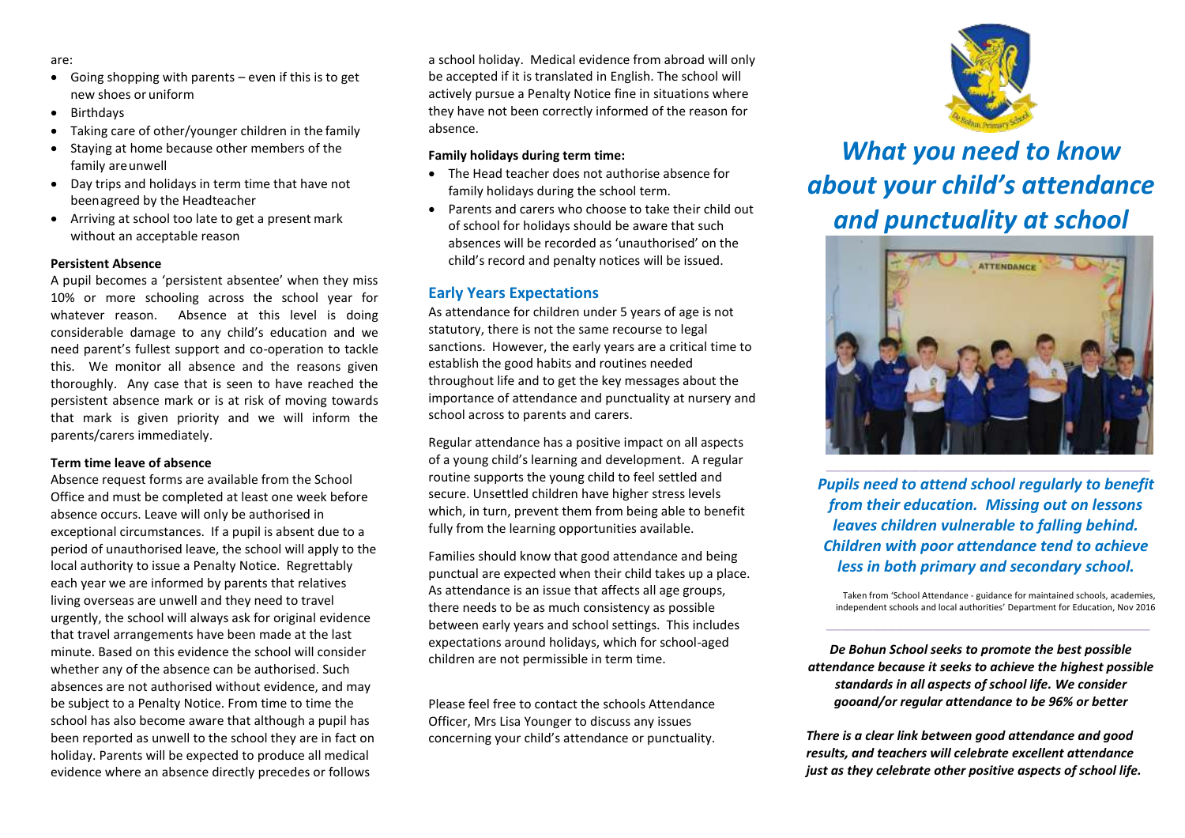#### are:

- Going shopping with parents even if this is to get new shoes or uniform
- Birthdays
- Taking care of other/younger children in the family
- Staying at home because other members of the family areunwell
- Day trips and holidays in term time that have not beenagreed by the Headteacher
- Arriving at school too late to get a present mark without an acceptable reason

#### **Persistent Absence**

A pupil becomes a 'persistent absentee' when they miss 10% or more schooling across the school year for whatever reason. Absence at this level is doing considerable damage to any child's education and we need parent's fullest support and co-operation to tackle this. We monitor all absence and the reasons given thoroughly. Any case that is seen to have reached the persistent absence mark or is at risk of moving towards that mark is given priority and we will inform the parents/carers immediately.

#### **Term time leave of absence**

Absence request forms are available from the School Office and must be completed at least one week before absence occurs. Leave will only be authorised in exceptional circumstances. If a pupil is absent due to a period of unauthorised leave, the school will apply to the local authority to issue a Penalty Notice. Regrettably each year we are informed by parents that relatives living overseas are unwell and they need to travel urgently, the school will always ask for original evidence that travel arrangements have been made at the last minute. Based on this evidence the school will consider whether any of the absence can be authorised. Such absences are not authorised without evidence, and may be subject to a Penalty Notice. From time to time the school has also become aware that although a pupil has been reported as unwell to the school they are in fact on holiday. Parents will be expected to produce all medical evidence where an absence directly precedes or follows

a school holiday. Medical evidence from abroad will only be accepted if it is translated in English. The school will actively pursue a Penalty Notice fine in situations where they have not been correctly informed of the reason for absence.

#### **Family holidays during term time:**

- The Head teacher does not authorise absence for family holidays during the school term.
- Parents and carers who choose to take their child out of school for holidays should be aware that such absences will be recorded as 'unauthorised' on the child's record and penalty notices will be issued.

## **Early Years Expectations**

As attendance for children under 5 years of age is not statutory, there is not the same recourse to legal sanctions. However, the early years are a critical time to establish the good habits and routines needed throughout life and to get the key messages about the importance of attendance and punctuality at nursery and school across to parents and carers.

Regular attendance has a positive impact on all aspects of a young child's learning and development. A regular routine supports the young child to feel settled and secure. Unsettled children have higher stress levels which, in turn, prevent them from being able to benefit fully from the learning opportunities available.

Families should know that good attendance and being punctual are expected when their child takes up a place. As attendance is an issue that affects all age groups, there needs to be as much consistency as possible between early years and school settings. This includes expectations around holidays, which for school-aged children are not permissible in term time.

Please feel free to contact the schools Attendance Officer, Mrs Lisa Younger to discuss any issues concerning your child's attendance or punctuality.



# *What you need to know about your child's attendance and punctuality at school*



*Pupils need to attend school regularly to benefit from their education. Missing out on lessons leaves children vulnerable to falling behind. Children with poor attendance tend to achieve less in both primary and secondary school.*

Taken from 'School Attendance - guidance for maintained schools, academies, independent schools and local authorities' Department for Education, Nov 2016 \_\_\_\_\_\_\_\_\_\_\_\_\_\_\_\_\_\_\_\_\_\_\_\_\_\_\_\_\_\_\_\_\_\_\_\_\_\_\_\_\_\_

*De Bohun School seeks to promote the best possible attendance because it seeks to achieve the highest possible standards in all aspects of school life. We consider gooand/or regular attendance to be 96% or better*

*There is a clear link between good attendance and good results, and teachers will celebrate excellent attendance just as they celebrate other positive aspects of school life.*